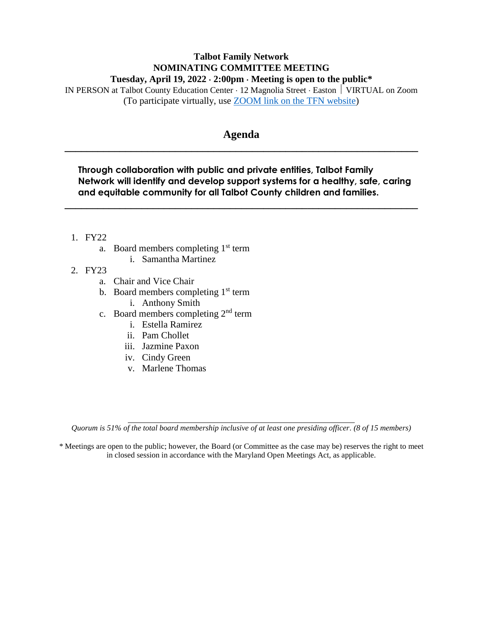## **Talbot Family Network NOMINATING COMMITTEE MEETING Tuesday, April 19, 2022**  $\cdot$  **2:00pm**  $\cdot$  Meeting is open to the public<sup>\*</sup>

IN PERSON at Talbot County Education Center 12 Magnolia Street Easton VIRTUAL on Zoom (To participate virtually, use [ZOOM link on the TFN website\)](https://healthytalbot.org/about/talbot-family-network/#:~:text=committee%20meetings%20virtually.-,Join%20Zoom%20Meeting,-https%3A//zoom.us)

## **Agenda \_\_\_\_\_\_\_\_\_\_\_\_\_\_\_\_\_\_\_\_\_\_\_\_\_\_\_\_\_\_\_\_\_\_\_\_\_\_\_\_\_\_\_\_\_\_\_\_\_\_\_\_\_\_\_\_\_\_\_\_\_\_\_\_**

**Through collaboration with public and private entities, Talbot Family Network will identify and develop support systems for a healthy, safe, caring and equitable community for all Talbot County children and families.**

**\_\_\_\_\_\_\_\_\_\_\_\_\_\_\_\_\_\_\_\_\_\_\_\_\_\_\_\_\_\_\_\_\_\_\_\_\_\_\_\_\_\_\_\_\_\_\_\_\_\_\_\_\_\_\_\_\_\_\_\_\_\_\_\_**

- 1. FY22
	- a. Board members completing  $1<sup>st</sup>$  term
		- i. Samantha Martinez
- 2. FY23
	- a. Chair and Vice Chair
	- b. Board members completing  $1<sup>st</sup>$  term
		- i. Anthony Smith
	- c. Board members completing  $2<sup>nd</sup>$  term
		- i. Estella Ramirez
		- ii. Pam Chollet
		- iii. Jazmine Paxon
		- iv. Cindy Green
		- v. Marlene Thomas

*Quorum is 51% of the total board membership inclusive of at least one presiding officer. (8 of 15 members)*

*\** Meetings are open to the public; however, the Board (or Committee as the case may be) reserves the right to meet in closed session in accordance with the Maryland Open Meetings Act, as applicable.